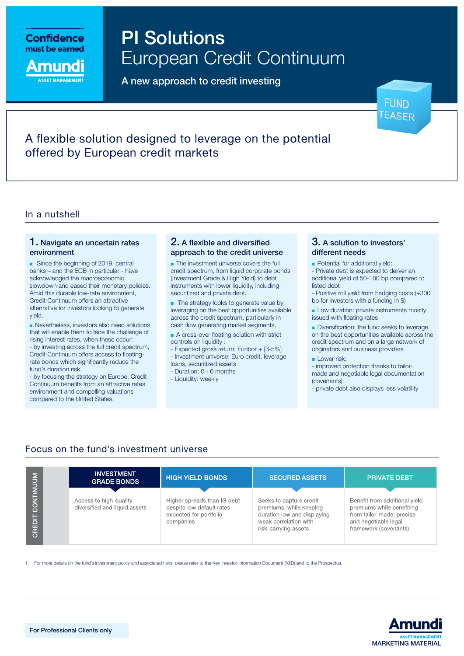

mundi

PI Solutions European Credit Continuum

A new approach to credit investing

**FUND** EASFR

# A flexible solution designed to leverage on the potential offered by European credit markets

## In a nutshell

### 1. Navigate an uncertain rates environment

■ Since the beginning of 2019, central banks – and the ECB in particular - have acknowledged the macroeconomic slowdown and eased their monetary policies. Amid this durable low-rate environment, Credit Continuum offers an attractive alternative for investors looking to generate yield.

■ Nevertheless, investors also need solutions that will enable them to face the challenge of rising interest rates, when these occur: - by investing across the full credit spectrum,

Credit Continuum offers access to floatingrate bonds which significantly reduce the fund's duration risk.

- by focusing the strategy on Europe, Credit Continuum benefits from an attractive rates environment and compelling valuations compared to the United States.

## 2. A flexible and diversified approach to the credit universe

■ The investment universe covers the full credit spectrum, from liquid corporate bonds (Investment Grade & High Yield) to debt instruments with lower liquidity, including securitized and private debt.

■ The strategy looks to generate value by leveraging on the best opportunities available across the credit spectrum, particularly in cash flow generating market segments.

■ A cross-over floating solution with strict controls on liquidity :

- Expected gross return: Euribor + [3-5%] - Investment universe: Euro credit, leverage loans, securitized assets

- Duration: 0 6 months
- Liquidity: weekly

## 3. A solution to investors' different needs

■ Potential for additional yield:

- Private debt is expected to deliver an additional yield of 50-100 bp compared to listed debt

- Positive roll yield from hedging costs (+300 bp for investors with a funding in \$)

**■ Low duration: private instruments mostly** issued with floating rates

■ Diversification: the fund seeks to leverage on the best opportunities available across the credit spectrum and on a large network of originators and business providers

#### ■ Lower risk:

- improved protection thanks to tailormade and negotiable legal documentation (covenants)

- private debt also displays less volatility

## Focus on the fund's investment universe

| <b>CREDI</b> |  | <b>INVESTMENT</b><br><b>GRADE BONDS</b>                 | <b>HIGH YIELD BONDS</b>                                                                         | <b>SECURED ASSETS</b>                                                                                                              | <b>PRIVATE DEBT</b>                                                                                                                      |
|--------------|--|---------------------------------------------------------|-------------------------------------------------------------------------------------------------|------------------------------------------------------------------------------------------------------------------------------------|------------------------------------------------------------------------------------------------------------------------------------------|
|              |  | Access to high-quality<br>diversified and liquid assets | Higher spreads than IG debt<br>despite low default rates<br>expected for portfolio<br>companies | Seeks to capture credit<br>premiums, while keeping<br>duration low and displaying<br>weak correlation with<br>risk-carrying assets | Benefit from additional yield<br>premiums while benefiting<br>from tailor-made, precise<br>and negotiable legal<br>framework (covenants) |

1. For more details on the fund's investment policy and associated risks, please refer to the Key Investor Information Document (KIID) and to the Prospectus.

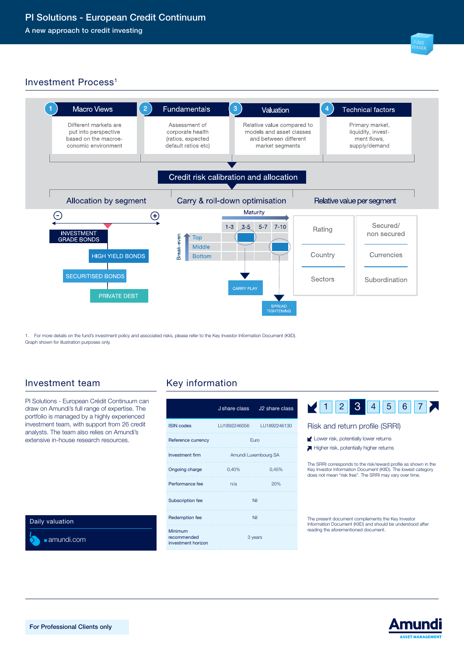## Investment Process<sup>1</sup>



1. For more details on the fund's investment policy and associated risks, please refer to the Key Investor Information Document (KIID). Graph shown for illustration purposes only.

## Investment team Key information

PI Solutions - European Crédit Continuum can draw on Amundi's full range of expertise. The portfolio is managed by a highly experienced investment team, with support from 26 credit analysts. The team also relies on Amundi's extensive in-house research resources.

Daily valuation

■ amundi.com

|                                              | J share class        | J <sub>2</sub> share class |  |
|----------------------------------------------|----------------------|----------------------------|--|
| <b>ISIN</b> codes                            | LU1892246056         | LU1892246130               |  |
| Reference currency                           | Furo                 |                            |  |
| <b>Investment firm</b>                       | Amundi Luxembourg SA |                            |  |
| Ongoing charge                               | 0,40%                | 0,45%                      |  |
| Performance fee                              | n/a                  | 20%                        |  |
| Subscription fee                             | Nil                  |                            |  |
| Redemption fee                               | Nil                  |                            |  |
| Minimum<br>recommended<br>investment horizon |                      | 3 years                    |  |



#### Risk and return profile (SRRI)

- Lower risk, potentially lower returns
- Higher risk, potentially higher returns

The SRRI corresponds to the risk/reward profile as shown in the Key Investor Information Document (KIID). The lowest category does not mean "risk free". The SRRI may vary over time.

The present document complements the Key Investor Information Document (KIID) and should be understood after reading the aforementioned document.

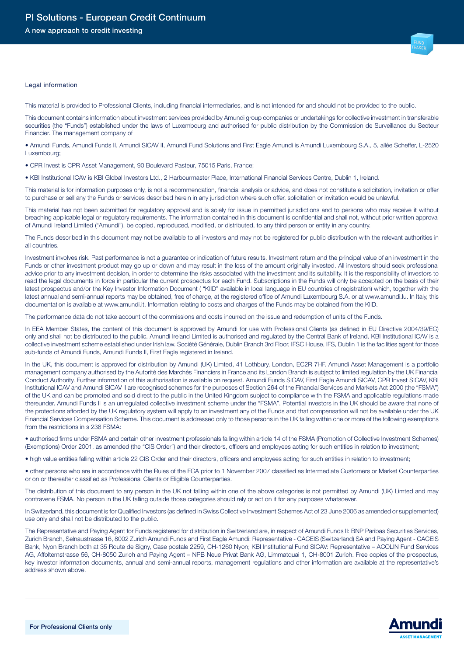A new approach to credit investing

#### Legal information

This material is provided to Professional Clients, including financial intermediaries, and is not intended for and should not be provided to the public.

This document contains information about investment services provided by Amundi group companies or undertakings for collective investment in transferable securities (the "Funds") established under the laws of Luxembourg and authorised for public distribution by the Commission de Surveillance du Secteur Financier. The management company of

• Amundi Funds, Amundi Funds II, Amundi SICAV II, Amundi Fund Solutions and First Eagle Amundi is Amundi Luxembourg S.A., 5, allée Scheffer, L-2520 Luxembourg;

• CPR Invest is CPR Asset Management, 90 Boulevard Pasteur, 75015 Paris, France;

• KBI Institutional ICAV is KBI Global Investors Ltd., 2 Harbourmaster Place, International Financial Services Centre, Dublin 1, Ireland.

This material is for information purposes only, is not a recommendation, financial analysis or advice, and does not constitute a solicitation, invitation or offer to purchase or sell any the Funds or services described herein in any jurisdiction where such offer, solicitation or invitation would be unlawful.

This material has not been submitted for regulatory approval and is solely for issue in permitted jurisdictions and to persons who may receive it without breaching applicable legal or regulatory requirements. The information contained in this document is confidential and shall not, without prior written approval of Amundi Ireland Limited ("Amundi"), be copied, reproduced, modified, or distributed, to any third person or entity in any country.

The Funds described in this document may not be available to all investors and may not be registered for public distribution with the relevant authorities in all countries.

Investment involves risk. Past performance is not a guarantee or indication of future results. Investment return and the principal value of an investment in the Funds or other investment product may go up or down and may result in the loss of the amount originally invested. All investors should seek professional advice prior to any investment decision, in order to determine the risks associated with the investment and its suitability. It is the responsibility of investors to read the legal documents in force in particular the current prospectus for each Fund. Subscriptions in the Funds will only be accepted on the basis of their latest prospectus and/or the Key Investor Information Document ( "KIID" available in local language in EU countries of registration) which, together with the latest annual and semi-annual reports may be obtained, free of charge, at the registered office of Amundi Luxembourg S.A. or at www.amundi.lu. In Italy, this documentation is available at www.amundi.it. Information relating to costs and charges of the Funds may be obtained from the KIID.

The performance data do not take account of the commissions and costs incurred on the issue and redemption of units of the Funds.

In EEA Member States, the content of this document is approved by Amundi for use with Professional Clients (as defined in EU Directive 2004/39/EC) only and shall not be distributed to the public. Amundi Ireland Limited is authorised and regulated by the Central Bank of Ireland. KBI Institutional ICAV is a collective investment scheme established under Irish law. Société Générale, Dublin Branch 3rd Floor, IFSC House, IFS, Dublin 1 is the facilities agent for those sub-funds of Amundi Funds, Amundi Funds II, First Eagle registered in Ireland.

In the UK, this document is approved for distribution by Amundi (UK) Limted, 41 Lothbury, London, EC2R 7HF. Amundi Asset Management is a portfolio management company authorised by the Autorité des Marchés Financiers in France and its London Branch is subject to limited regulation by the UK Financial Conduct Authority. Further information of this authorisation is available on request. Amundi Funds SICAV, First Eagle Amundi SICAV, CPR Invest SICAV, KBI Institutional ICAV and Amundi SICAV II are recognised schemes for the purposes of Section 264 of the Financial Services and Markets Act 2000 (the "FSMA") of the UK and can be promoted and sold direct to the public in the United Kingdom subject to compliance with the FSMA and applicable regulations made thereunder. Amundi Funds II is an unregulated collective investment scheme under the "FSMA". Potential investors in the UK should be aware that none of the protections afforded by the UK regulatory system will apply to an investment any of the Funds and that compensation will not be available under the UK Financial Services Compensation Scheme. This document is addressed only to those persons in the UK falling within one or more of the following exemptions from the restrictions in s 238 FSMA:

• authorised firms under FSMA and certain other investment professionals falling within article 14 of the FSMA (Promotion of Collective Investment Schemes) (Exemptions) Order 2001, as amended (the "CIS Order") and their directors, officers and employees acting for such entities in relation to investment;

• high value entities falling within article 22 CIS Order and their directors, officers and employees acting for such entities in relation to investment;

• other persons who are in accordance with the Rules of the FCA prior to 1 November 2007 classified as Intermediate Customers or Market Counterparties or on or thereafter classified as Professional Clients or Eligible Counterparties.

The distribution of this document to any person in the UK not falling within one of the above categories is not permitted by Amundi (UK) Limted and may contravene FSMA. No person in the UK falling outside those categories should rely or act on it for any purposes whatsoever.

In Switzerland, this document is for Qualified Investors (as defined in Swiss Collective Investment Schemes Act of 23 June 2006 as amended or supplemented) use only and shall not be distributed to the public.

The Representative and Paying Agent for Funds registered for distribution in Switzerland are, in respect of Amundi Funds II: BNP Paribas Securities Services, Zurich Branch, Selnaustrasse 16, 8002 Zurich Amundi Funds and First Eagle Amundi: Representative - CACEIS (Switzerland) SA and Paying Agent - CACEIS Bank, Nyon Branch both at 35 Route de Signy, Case postale 2259, CH-1260 Nyon; KBI Institutional Fund SICAV: Representative – ACOLIN Fund Services AG, Affolternstrasse 56, CH-8050 Zurich and Paying Agent – NPB Neue Privat Bank AG, Limmatquai 1, CH-8001 Zurich. Free copies of the prospectus, key investor information documents, annual and semi-annual reports, management regulations and other information are available at the representative's address shown above.